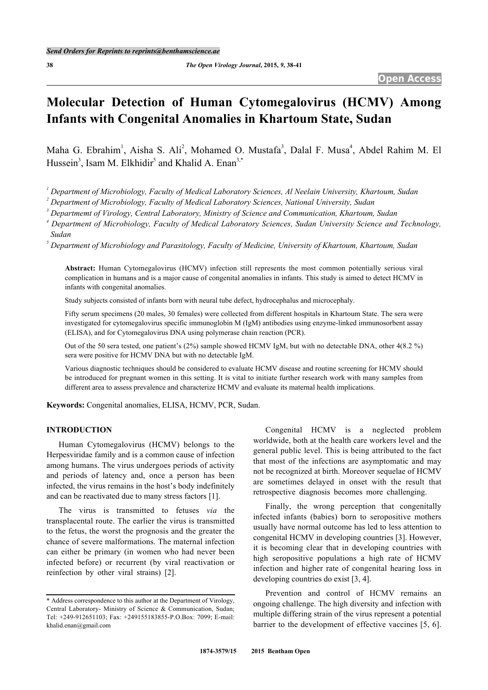# **Molecular Detection of Human Cytomegalovirus (HCMV) Among Infants with Congenital Anomalies in Khartoum State, Sudan**

Maha G. Ebrahim<sup>[1](#page-0-0)</sup>, Aisha S. Ali<sup>[2](#page-0-1)</sup>, Mohamed O. Mustafa<sup>[3](#page-0-2)</sup>, Dalal F. Musa<sup>[4](#page-0-3)</sup>, Abdel Rahim M. El Hussein<sup>[3](#page-0-2)</sup>, Isam M. Elkhidir<sup>[5](#page-0-4)</sup> and Khalid A. Enan<sup>[3,](#page-0-2)[\\*](#page-0-5)</sup>

<span id="page-0-0"></span>*1 Department of Microbiology, Faculty of Medical Laboratory Sciences, Al Neelain University, Khartoum, Sudan*

<span id="page-0-1"></span>*2 Department of Microbiology, Faculty of Medical Laboratory Sciences, National University, Sudan*

<span id="page-0-2"></span>*3 Departmemt of Virology, Central Laboratory, Ministry of Science and Communication, Khartoum, Sudan*

<span id="page-0-3"></span>*4 Department of Microbiology, Faculty of Medical Laboratory Sciences, Sudan University Science and Technology, Sudan*

<span id="page-0-4"></span>*5 Department of Microbiology and Parasitology, Faculty of Medicine, University of Khartoum, Khartoum, Sudan*

**Abstract:** Human Cytomegalovirus (HCMV) infection still represents the most common potentially serious viral complication in humans and is a major cause of congenital anomalies in infants. This study is aimed to detect HCMV in infants with congenital anomalies.

Study subjects consisted of infants born with neural tube defect, hydrocephalus and microcephaly.

Fifty serum specimens (20 males, 30 females) were collected from different hospitals in Khartoum State. The sera were investigated for cytomegalovirus specific immunoglobin M (IgM) antibodies using enzyme-linked immunosorbent assay (ELISA), and for Cytomegalovirus DNA using polymerase chain reaction (PCR).

Out of the 50 sera tested, one patient's (2%) sample showed HCMV IgM, but with no detectable DNA, other 4(8.2 %) sera were positive for HCMV DNA but with no detectable IgM.

Various diagnostic techniques should be considered to evaluate HCMV disease and routine screening for HCMV should be introduced for pregnant women in this setting. It is vital to initiate further research work with many samples from different area to assess prevalence and characterize HCMV and evaluate its maternal health implications.

**Keywords:** Congenital anomalies, ELISA, HCMV, PCR, Sudan.

#### **INTRODUCTION**

Human Cytomegalovirus (HCMV) belongs to the Herpesviridae family and is a common cause of infection among humans. The virus undergoes periods of activity and periods of latency and, once a person has been infected, the virus remains in the host's body indefinitely and can be reactivated due to many stress factors [\[1](#page-2-0)].

The virus is transmitted to fetuses *via* the transplacental route. The earlier the virus is transmitted to the fetus, the worst the prognosis and the greater the chance of severe malformations. The maternal infection can either be primary (in women who had never been infected before) or recurrent (by viral reactivation or reinfection by other viral strains) [\[2](#page-2-1)].

Congenital HCMV is a neglected problem worldwide, both at the health care workers level and the general public level. This is being attributed to the fact that most of the infections are asymptomatic and may not be recognized at birth. Moreover sequelae of HCMV are sometimes delayed in onset with the result that retrospective diagnosis becomes more challenging.

Finally, the wrong perception that congenitally infected infants (babies) born to seropositive mothers usually have normal outcome has led to less attention to congenital HCMV in developing countries [[3\]](#page-2-2). However, it is becoming clear that in developing countries with high seropositive populations a high rate of HCMV infection and higher rate of congenital hearing loss in developing countries do exist [\[3](#page-2-2), [4](#page-2-3)].

Prevention and control of HCMV remains an ongoing challenge. The high diversity and infection with multiple differing strain of the virus represent a potential barrier to the development of effective vaccines [\[5,](#page-2-4) [6\]](#page-3-0).

<span id="page-0-5"></span><sup>\*</sup> Address correspondence to this author at the Department of Virology, Central Laboratory- Ministry of Science & Communication, Sudan; Tel: +249-912651103; Fax: +249155183855-P.O.Box: 7099; E-mail: [khalid.enan@gmail.com](mailto:khalid.enan@gmail.com)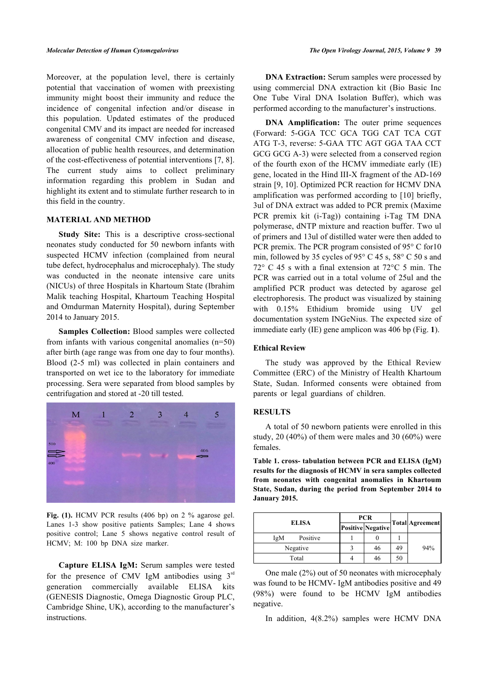Moreover, at the population level, there is certainly potential that vaccination of women with preexisting immunity might boost their immunity and reduce the incidence of congenital infection and/or disease in this population. Updated estimates of the produced congenital CMV and its impact are needed for increased awareness of congenital CMV infection and disease, allocation of public health resources, and determination of the cost-effectiveness of potential interventions [\[7](#page-3-1), [8](#page-3-2)]. The current study aims to collect preliminary information regarding this problem in Sudan and highlight its extent and to stimulate further research to in this field in the country.

#### **MATERIAL AND METHOD**

**Study Site:** This is a descriptive cross-sectional neonates study conducted for 50 newborn infants with suspected HCMV infection (complained from neural tube defect, hydrocephalus and microcephaly). The study was conducted in the neonate intensive care units (NICUs) of three Hospitals in Khartoum State (Ibrahim Malik teaching Hospital, Khartoum Teaching Hospital and Omdurman Maternity Hospital), during September 2014 to January 2015.

**Samples Collection:** Blood samples were collected from infants with various congenital anomalies (n=50) after birth (age range was from one day to four months). Blood (2-5 ml) was collected in plain containers and transported on wet ice to the laboratory for immediate processing. Sera were separated from blood samples by centrifugation and stored at -20 till tested.

<span id="page-1-1"></span><span id="page-1-0"></span>

Fig. (1). HCMV PCR results (406 bp) on 2 % agarose gel. Lanes 1-3 show positive patients Samples; Lane 4 shows positive control; Lane 5 shows negative control result of HCMV; M: 100 bp DNA size marker.

**Capture ELISA IgM:** Serum samples were tested for the presence of CMV IgM antibodies using  $3<sup>rd</sup>$ generation commercially available ELISA kits (GENESIS Diagnostic, Omega Diagnostic Group PLC, Cambridge Shine, UK), according to the manufacturer's instructions.

**DNA Extraction:** Serum samples were processed by using commercial DNA extraction kit (Bio Basic Inc One Tube Viral DNA Isolation Buffer), which was performed according to the manufacturer's instructions.

**DNA Amplification:** The outer prime sequences (Forward: 5-GGA TCC GCA TGG CAT TCA CGT ATG T-3, reverse: 5-GAA TTC AGT GGA TAA CCT GCG GCG A-3) were selected from a conserved region of the fourth exon of the HCMV immediate early (IE) gene, located in the Hind III-X fragment of the AD-169 strain [[9,](#page-3-3) [10](#page-3-4)]. Optimized PCR reaction for HCMV DNA amplification was performed according to [[10\]](#page-3-4) briefly, 3ul of DNA extract was added to PCR premix (Maxime PCR premix kit (i-Tag)) containing i-Tag TM DNA polymerase, dNTP mixture and reaction buffer. Two ul of primers and 13ul of distilled water were then added to PCR premix. The PCR program consisted of 95° C for10 min, followed by 35 cycles of 95 $\degree$  C 45 s, 58 $\degree$  C 50 s and 72° C 45 s with a final extension at 72°C 5 min. The PCR was carried out in a total volume of 25ul and the amplified PCR product was detected by agarose gel electrophoresis. The product was visualized by staining with 0.15% Ethidium bromide using UV gel documentation system INGeNius. The expected size of immediate early (IE) gene amplicon was 406 bp (Fig. **[1](#page-1-0)**).

### **Ethical Review**

The study was approved by the Ethical Review Committee (ERC) of the Ministry of Health Khartoum State, Sudan. Informed consents were obtained from parents or legal guardians of children.

#### **RESULTS**

A total of 50 newborn patients were enrolled in this study, 20  $(40\%)$  of them were males and 30  $(60\%)$  were females.

**Table 1. cross- tabulation between PCR and ELISA (IgM) results for the diagnosis of HCMV in sera samples collected from neonates with congenital anomalies in Khartoum State, Sudan, during the period from September 2014 to January 2015.**

| <b>ELISA</b>    | <b>PCR</b> |                          |    |                 |
|-----------------|------------|--------------------------|----|-----------------|
|                 |            | <b>Positive Negative</b> |    | Total Agreement |
| Positive<br>IgM |            |                          |    |                 |
| Negative        |            | 46                       | 49 | 94%             |
| Total           |            | 46                       | 50 |                 |

One male (2%) out of 50 neonates with microcephaly was found to be HCMV- IgM antibodies positive and 49 (98%) were found to be HCMV IgM antibodies negative.

In addition, 4(8.2%) samples were HCMV DNA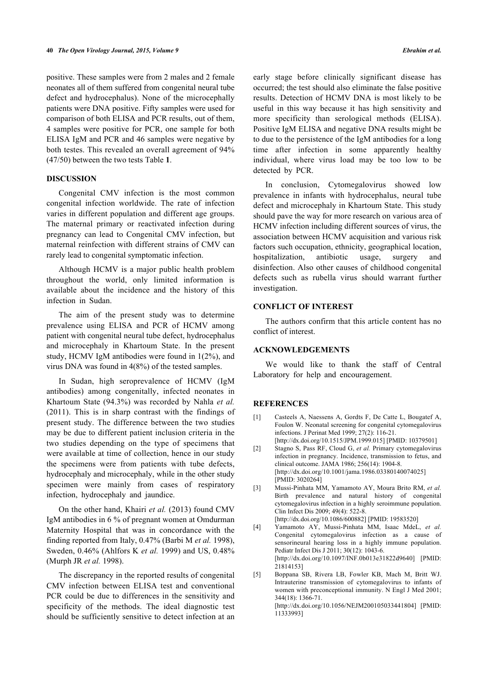positive. These samples were from 2 males and 2 female neonates all of them suffered from congenital neural tube defect and hydrocephalus). None of the microcephally patients were DNA positive. Fifty samples were used for comparison of both ELISA and PCR results, out of them, 4 samples were positive for PCR, one sample for both ELISA IgM and PCR and 46 samples were negative by both testes. This revealed an overall agreement of 94% (47/50) between the two tests Table **[1](#page-1-1)**.

### **DISCUSSION**

Congenital CMV infection is the most common congenital infection worldwide. The rate of infection varies in different population and different age groups. The maternal primary or reactivated infection during pregnancy can lead to Congenital CMV infection, but maternal reinfection with different strains of CMV can rarely lead to congenital symptomatic infection.

Although HCMV is a major public health problem throughout the world, only limited information is available about the incidence and the history of this infection in Sudan.

The aim of the present study was to determine prevalence using ELISA and PCR of HCMV among patient with congenital neural tube defect, hydrocephalus and microcephaly in Khartoum State. In the present study, HCMV IgM antibodies were found in 1(2%), and virus DNA was found in 4(8%) of the tested samples.

<span id="page-2-0"></span>In Sudan, high seroprevalence of HCMV (IgM antibodies) among congenitally, infected neonates in Khartoum State (94.3%) was recorded by Nahla *et al.* (2011). This is in sharp contrast with the findings of present study. The difference between the two studies may be due to different patient inclusion criteria in the two studies depending on the type of specimens that were available at time of collection, hence in our study the specimens were from patients with tube defects, hydrocephaly and microcephaly, while in the other study specimen were mainly from cases of respiratory infection, hydrocephaly and jaundice.

<span id="page-2-3"></span><span id="page-2-2"></span><span id="page-2-1"></span>On the other hand, Khairi *et al.* (2013) found CMV IgM antibodies in 6 % of pregnant women at Omdurman Maternity Hospital that was in concordance with the finding reported from Italy, 0.47% (Barbi M *et al.* 1998), Sweden, 0.46% (Ahlfors K *et al.* 1999) and US, 0.48% (Murph JR *et al.* 1998).

<span id="page-2-4"></span>The discrepancy in the reported results of congenital CMV infection between ELISA test and conventional PCR could be due to differences in the sensitivity and specificity of the methods. The ideal diagnostic test should be sufficiently sensitive to detect infection at an

early stage before clinically significant disease has occurred; the test should also eliminate the false positive results. Detection of HCMV DNA is most likely to be useful in this way because it has high sensitivity and more specificity than serological methods (ELISA). Positive IgM ELISA and negative DNA results might be to due to the persistence of the IgM antibodies for a long time after infection in some apparently healthy individual, where virus load may be too low to be detected by PCR.

In conclusion, Cytomegalovirus showed low prevalence in infants with hydrocephalus, neural tube defect and microcephaly in Khartoum State. This study should pave the way for more research on various area of HCMV infection including different sources of virus, the association between HCMV acquisition and various risk factors such occupation, ethnicity, geographical location, hospitalization, antibiotic usage, surgery and disinfection. Also other causes of childhood congenital defects such as rubella virus should warrant further investigation.

## **CONFLICT OF INTEREST**

The authors confirm that this article content has no conflict of interest.

#### **ACKNOWLEDGEMENTS**

We would like to thank the staff of Central Laboratory for help and encouragement.

#### **REFERENCES**

- [1] Casteels A, Naessens A, Gordts F, De Catte L, Bougatef A, Foulon W. Neonatal screening for congenital cytomegalovirus infections. J Perinat Med 1999; 27(2): 116-21. [<http://dx.doi.org/10.1515/JPM.1999.015>] [PMID: [10379501\]](http://www.ncbi.nlm.nih.gov/pubmed/10379501)
- [2] Stagno S, Pass RF, Cloud G, *et al.* Primary cytomegalovirus infection in pregnancy. Incidence, transmission to fetus, and clinical outcome. JAMA 1986; 256(14): 1904-8. [<http://dx.doi.org/10.1001/jama.1986.03380140074025>] [PMID: [3020264](http://www.ncbi.nlm.nih.gov/pubmed/3020264)]
- [3] Mussi-Pinhata MM, Yamamoto AY, Moura Brito RM, *et al.* Birth prevalence and natural history of congenital cytomegalovirus infection in a highly seroimmune population. Clin Infect Dis 2009; 49(4): 522-8. [<http://dx.doi.org/10.1086/600882>] [PMID: [19583520\]](http://www.ncbi.nlm.nih.gov/pubmed/19583520)
- [4] Yamamoto AY, Mussi-Pinhata MM, Isaac MdeL, *et al.* Congenital cytomegalovirus infection as a cause of sensorineural hearing loss in a highly immune population. Pediatr Infect Dis J 2011; 30(12): 1043-6. [<http://dx.doi.org/10.1097/INF.0b013e31822d9640>] [PMID: [21814153](http://www.ncbi.nlm.nih.gov/pubmed/21814153)]
- [5] Boppana SB, Rivera LB, Fowler KB, Mach M, Britt WJ. Intrauterine transmission of cytomegalovirus to infants of women with preconceptional immunity. N Engl J Med 2001; 344(18): 1366-71. [<http://dx.doi.org/10.1056/NEJM200105033441804>] [PMID: [11333993](http://www.ncbi.nlm.nih.gov/pubmed/11333993)]